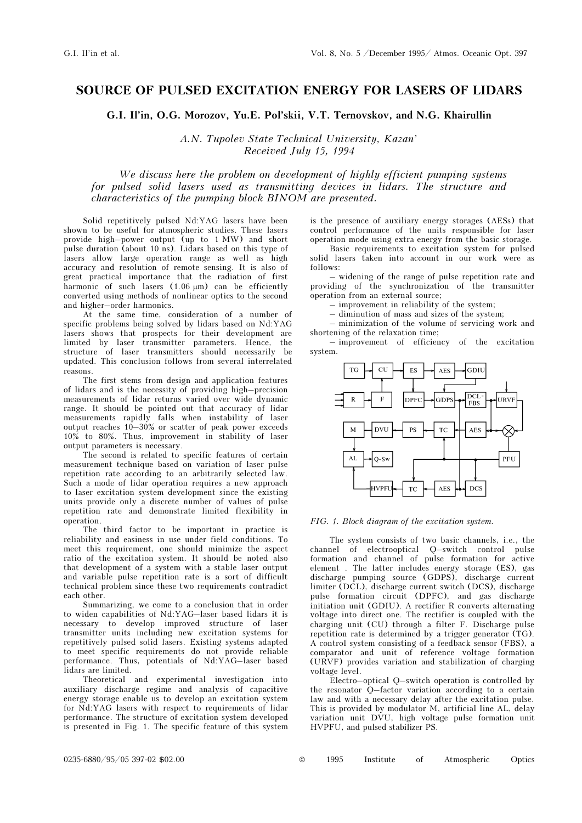## SOURCE OF PULSED EXCITATION ENERGY FOR LASERS OF LIDARS

## G.I. Il'in, O.G. Morozov, Yu.E. Pol'skii, V.T. Ternovskov, and N.G. Khairullin

A.N. Tupolev State Technical University, Kazan' Received July 15, 1994

We discuss here the problem on development of highly efficient pumping systems for pulsed solid lasers used as transmitting devices in lidars. The structure and characteristics of the pumping block BINOM are presented.

Solid repetitively pulsed Nd:YAG lasers have been shown to be useful for atmospheric studies. These lasers provide high–power output (up to 1 MW) and short pulse duration (about 10 ns). Lidars based on this type of lasers allow large operation range as well as high accuracy and resolution of remote sensing. It is also of great practical importance that the radiation of first harmonic of such lasers  $(1.06 \mu m)$  can be efficiently converted using methods of nonlinear optics to the second and higher–order harmonics.

At the same time, consideration of a number of specific problems being solved by lidars based on Nd:YAG lasers shows that prospects for their development are limited by laser transmitter parameters. Hence, the structure of laser transmitters should necessarily be updated. This conclusion follows from several interrelated reasons.

The first stems from design and application features of lidars and is the necessity of providing high–precision measurements of lidar returns varied over wide dynamic range. It should be pointed out that accuracy of lidar measurements rapidly falls when instability of laser output reaches 10–30% or scatter of peak power exceeds  $10\%$  to 80%. Thus, improvement in stability of laser output parameters is necessary.

The second is related to specific features of certain measurement technique based on variation of laser pulse repetition rate according to an arbitrarily selected law. Such a mode of lidar operation requires a new approach to laser excitation system development since the existing units provide only a discrete number of values of pulse repetition rate and demonstrate limited flexibility in operation.

The third factor to be important in practice is reliability and easiness in use under field conditions. To meet this requirement, one should minimize the aspect ratio of the excitation system. It should be noted also that development of a system with a stable laser output and variable pulse repetition rate is a sort of difficult technical problem since these two requirements contradict each other.

Summarizing, we come to a conclusion that in order to widen capabilities of Nd:YAG–laser based lidars it is necessary to develop improved structure of laser transmitter units including new excitation systems for repetitively pulsed solid lasers. Existing systems adapted to meet specific requirements do not provide reliable performance. Thus, potentials of Nd:YAG–laser based lidars are limited.

Theoretical and experimental investigation into auxiliary discharge regime and analysis of capacitive energy storage enable us to develop an excitation system for Nd:YAG lasers with respect to requirements of lidar performance. The structure of excitation system developed is presented in Fig. 1. The specific feature of this system is the presence of auxiliary energy storages (AESs) that control performance of the units responsible for laser operation mode using extra energy from the basic storage.

Basic requirements to excitation system for pulsed solid lasers taken into account in our work were as follows:

– widening of the range of pulse repetition rate and providing of the synchronization of the transmitter operation from an external source;

– improvement in reliability of the system;

– diminution of mass and sizes of the system;

– minimization of the volume of servicing work and shortening of the relaxation time;

– improvement of efficiency of the excitation system.



## FIG. 1. Block diagram of the excitation system.

The system consists of two basic channels, i.e., the channel of electrooptical Q–switch control pulse formation and channel of pulse formation for active element . The latter includes energy storage (ES), gas discharge pumping source (GDPS), discharge current limiter (DCL), discharge current switch (DCS), discharge pulse formation circuit (DPFC), and gas discharge initiation unit (GDIU). A rectifier R converts alternating voltage into direct one. The rectifier is coupled with the charging unit (CU) through a filter F. Discharge pulse repetition rate is determined by a trigger generator (TG). A control system consisting of a feedback sensor (FBS), a comparator and unit of reference voltage formation (URVF) provides variation and stabilization of charging voltage level.

Electro–optical Q–switch operation is controlled by the resonator Q–factor variation according to a certain law and with a necessary delay after the excitation pulse. This is provided by modulator M, artificial line AL, delay variation unit DVU, high voltage pulse formation unit HVPFU, and pulsed stabilizer PS.